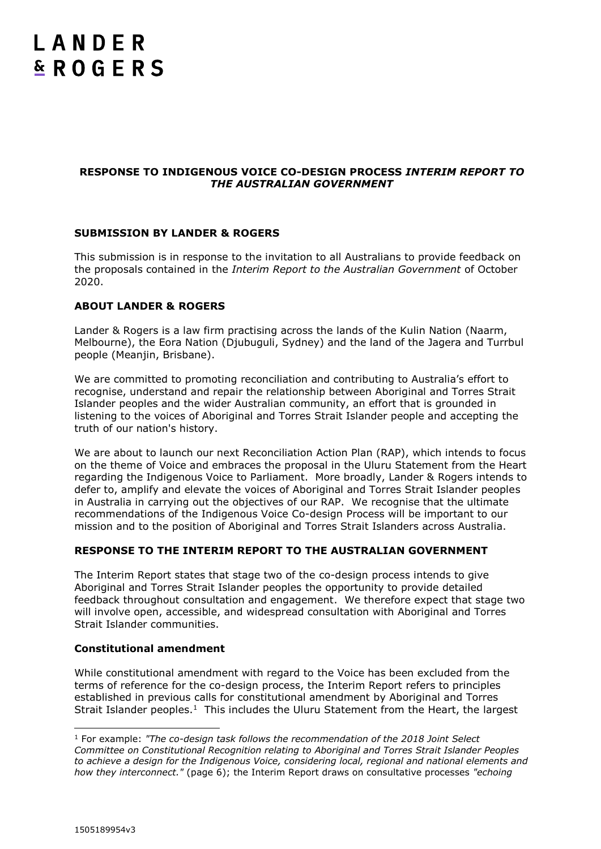# LANDER **& ROGERS**

# **RESPONSE TO INDIGENOUS VOICE CO-DESIGN PROCESS** *INTERIM REPORT TO THE AUSTRALIAN GOVERNMENT*

# **SUBMISSION BY LANDER & ROGERS**

This submission is in response to the invitation to all Australians to provide feedback on the proposals contained in the *Interim Report to the Australian Government* of October 2020.

# **ABOUT LANDER & ROGERS**

Lander & Rogers is a law firm practising across the lands of the Kulin Nation (Naarm, Melbourne), the Eora Nation (Djubuguli, Sydney) and the land of the Jagera and Turrbul people (Meanjin, Brisbane).

We are committed to promoting reconciliation and contributing to Australia's effort to recognise, understand and repair the relationship between Aboriginal and Torres Strait Islander peoples and the wider Australian community, an effort that is grounded in listening to the voices of Aboriginal and Torres Strait Islander people and accepting the truth of our nation's history.

We are about to launch our next Reconciliation Action Plan (RAP), which intends to focus on the theme of Voice and embraces the proposal in the Uluru Statement from the Heart regarding the Indigenous Voice to Parliament. More broadly, Lander & Rogers intends to defer to, amplify and elevate the voices of Aboriginal and Torres Strait Islander peoples in Australia in carrying out the objectives of our RAP. We recognise that the ultimate recommendations of the Indigenous Voice Co-design Process will be important to our mission and to the position of Aboriginal and Torres Strait Islanders across Australia.

## **RESPONSE TO THE INTERIM REPORT TO THE AUSTRALIAN GOVERNMENT**

The Interim Report states that stage two of the co-design process intends to give Aboriginal and Torres Strait Islander peoples the opportunity to provide detailed feedback throughout consultation and engagement. We therefore expect that stage two will involve open, accessible, and widespread consultation with Aboriginal and Torres Strait Islander communities.

## **Constitutional amendment**

While constitutional amendment with regard to the Voice has been excluded from the terms of reference for the co-design process, the Interim Report refers to principles established in previous calls for constitutional amendment by Aboriginal and Torres Strait Islander peoples.<sup>1</sup> This includes the Uluru Statement from the Heart, the largest

 $\overline{a}$ 

<sup>1</sup> For example: *"The co-design task follows the recommendation of the 2018 Joint Select Committee on Constitutional Recognition relating to Aboriginal and Torres Strait Islander Peoples to achieve a design for the Indigenous Voice, considering local, regional and national elements and how they interconnect."* (page 6); the Interim Report draws on consultative processes *"echoing*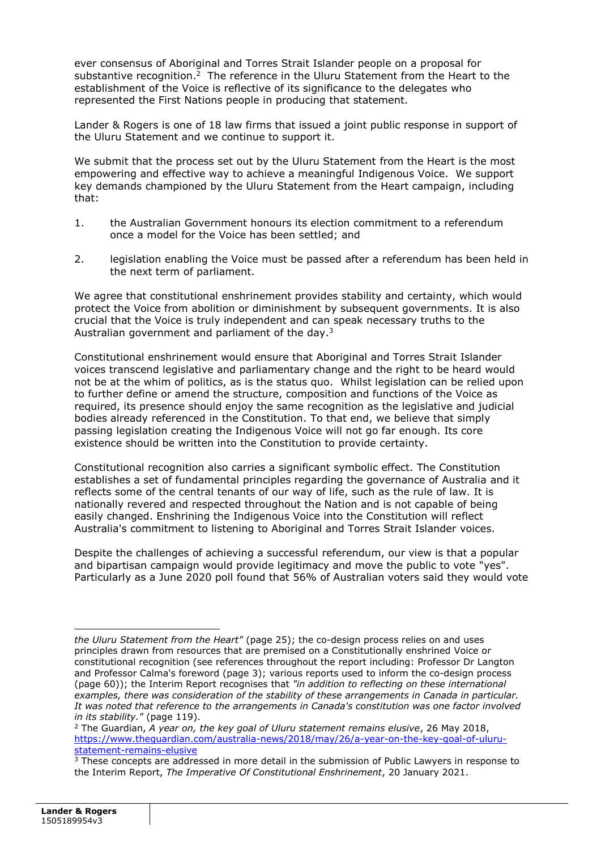ever consensus of Aboriginal and Torres Strait Islander people on a proposal for substantive recognition.<sup>2</sup> The reference in the Uluru Statement from the Heart to the establishment of the Voice is reflective of its significance to the delegates who represented the First Nations people in producing that statement.

Lander & Rogers is one of 18 law firms that issued a joint public response in support of the Uluru Statement and we continue to support it.

We submit that the process set out by the Uluru Statement from the Heart is the most empowering and effective way to achieve a meaningful Indigenous Voice. We support key demands championed by the Uluru Statement from the Heart campaign, including that:

- 1. the Australian Government honours its election commitment to a referendum once a model for the Voice has been settled; and
- 2. legislation enabling the Voice must be passed after a referendum has been held in the next term of parliament.

We agree that constitutional enshrinement provides stability and certainty, which would protect the Voice from abolition or diminishment by subsequent governments. It is also crucial that the Voice is truly independent and can speak necessary truths to the Australian government and parliament of the day. $3$ 

Constitutional enshrinement would ensure that Aboriginal and Torres Strait Islander voices transcend legislative and parliamentary change and the right to be heard would not be at the whim of politics, as is the status quo. Whilst legislation can be relied upon to further define or amend the structure, composition and functions of the Voice as required, its presence should enjoy the same recognition as the legislative and judicial bodies already referenced in the Constitution. To that end, we believe that simply passing legislation creating the Indigenous Voice will not go far enough. Its core existence should be written into the Constitution to provide certainty.

Constitutional recognition also carries a significant symbolic effect. The Constitution establishes a set of fundamental principles regarding the governance of Australia and it reflects some of the central tenants of our way of life, such as the rule of law. It is nationally revered and respected throughout the Nation and is not capable of being easily changed. Enshrining the Indigenous Voice into the Constitution will reflect Australia's commitment to listening to Aboriginal and Torres Strait Islander voices.

Despite the challenges of achieving a successful referendum, our view is that a popular and bipartisan campaign would provide legitimacy and move the public to vote "yes". Particularly as a June 2020 poll found that 56% of Australian voters said they would vote

*the Uluru Statement from the Heart"* (page 25); the co-design process relies on and uses principles drawn from resources that are premised on a Constitutionally enshrined Voice or constitutional recognition (see references throughout the report including: Professor Dr Langton and Professor Calma's foreword (page 3); various reports used to inform the co-design process (page 60)); the Interim Report recognises that *"in addition to reflecting on these international examples, there was consideration of the stability of these arrangements in Canada in particular. It was noted that reference to the arrangements in Canada's constitution was one factor involved in its stability."* (page 119).

<sup>2</sup> The Guardian, *A year on, the key goal of Uluru statement remains elusive*, 26 May 2018, [https://www.theguardian.com/australia-news/2018/may/26/a-year-on-the-key-goal-of-uluru](https://www.theguardian.com/australia-news/2018/may/26/a-year-on-the-key-goal-of-uluru-statement-remains-elusive)[statement-remains-elusive](https://www.theguardian.com/australia-news/2018/may/26/a-year-on-the-key-goal-of-uluru-statement-remains-elusive)

<sup>&</sup>lt;sup>3</sup> These concepts are addressed in more detail in the submission of Public Lawyers in response to the Interim Report, *The Imperative Of Constitutional Enshrinement*, 20 January 2021.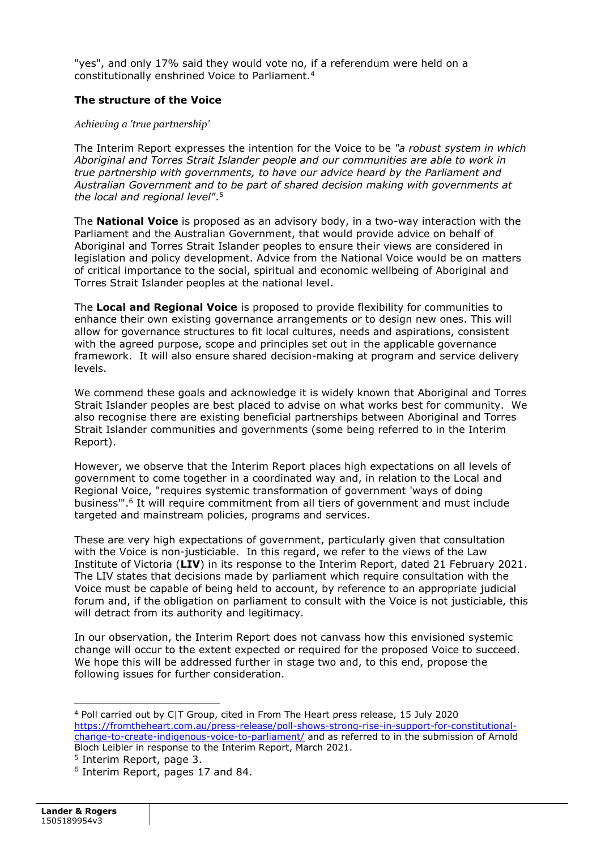"yes", and only 17% said they would vote no, if a referendum were held on a constitutionally enshrined Voice to Parliament.<sup>4</sup>

# **The structure of the Voice**

## *Achieving a 'true partnership'*

The Interim Report expresses the intention for the Voice to be *"a robust system in which Aboriginal and Torres Strait Islander people and our communities are able to work in true partnership with governments, to have our advice heard by the Parliament and Australian Government and to be part of shared decision making with governments at the local and regional level"*. 5

The **National Voice** is proposed as an advisory body, in a two-way interaction with the Parliament and the Australian Government, that would provide advice on behalf of Aboriginal and Torres Strait Islander peoples to ensure their views are considered in legislation and policy development. Advice from the National Voice would be on matters of critical importance to the social, spiritual and economic wellbeing of Aboriginal and Torres Strait Islander peoples at the national level.

The **Local and Regional Voice** is proposed to provide flexibility for communities to enhance their own existing governance arrangements or to design new ones. This will allow for governance structures to fit local cultures, needs and aspirations, consistent with the agreed purpose, scope and principles set out in the applicable governance framework. It will also ensure shared decision-making at program and service delivery levels.

We commend these goals and acknowledge it is widely known that Aboriginal and Torres Strait Islander peoples are best placed to advise on what works best for community. We also recognise there are existing beneficial partnerships between Aboriginal and Torres Strait Islander communities and governments (some being referred to in the Interim Report).

However, we observe that the Interim Report places high expectations on all levels of government to come together in a coordinated way and, in relation to the Local and Regional Voice, "requires systemic transformation of government 'ways of doing business'". 6 It will require commitment from all tiers of government and must include targeted and mainstream policies, programs and services.

These are very high expectations of government, particularly given that consultation with the Voice is non-justiciable. In this regard, we refer to the views of the Law Institute of Victoria (**LIV**) in its response to the Interim Report, dated 21 February 2021. The LIV states that decisions made by parliament which require consultation with the Voice must be capable of being held to account, by reference to an appropriate judicial forum and, if the obligation on parliament to consult with the Voice is not justiciable, this will detract from its authority and legitimacy.

In our observation, the Interim Report does not canvass how this envisioned systemic change will occur to the extent expected or required for the proposed Voice to succeed. We hope this will be addressed further in stage two and, to this end, propose the following issues for further consideration.

<sup>4</sup> Poll carried out by C|T Group, cited in From The Heart press release, 15 July 2020 [https://fromtheheart.com.au/press-release/poll-shows-strong-rise-in-support-for-constitutional](https://fromtheheart.com.au/press-release/poll-shows-strong-rise-in-support-for-constitutional-change-to-create-indigenous-voice-to-parliament/)[change-to-create-indigenous-voice-to-parliament/](https://fromtheheart.com.au/press-release/poll-shows-strong-rise-in-support-for-constitutional-change-to-create-indigenous-voice-to-parliament/) and as referred to in the submission of Arnold Bloch Leibler in response to the Interim Report, March 2021.

<sup>5</sup> Interim Report, page 3.

<sup>6</sup> Interim Report, pages 17 and 84.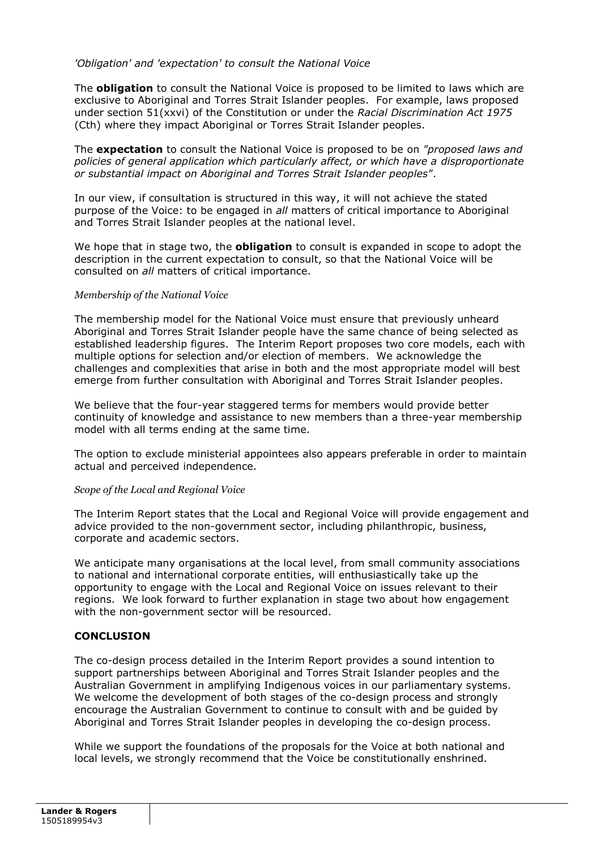# *'Obligation' and 'expectation' to consult the National Voice*

The **obligation** to consult the National Voice is proposed to be limited to laws which are exclusive to Aboriginal and Torres Strait Islander peoples. For example, laws proposed under section 51(xxvi) of the Constitution or under the *Racial Discrimination Act 1975* (Cth) where they impact Aboriginal or Torres Strait Islander peoples.

The **expectation** to consult the National Voice is proposed to be on *"proposed laws and policies of general application which particularly affect, or which have a disproportionate or substantial impact on Aboriginal and Torres Strait Islander peoples"*.

In our view, if consultation is structured in this way, it will not achieve the stated purpose of the Voice: to be engaged in *all* matters of critical importance to Aboriginal and Torres Strait Islander peoples at the national level.

We hope that in stage two, the **obligation** to consult is expanded in scope to adopt the description in the current expectation to consult, so that the National Voice will be consulted on *all* matters of critical importance.

## *Membership of the National Voice*

The membership model for the National Voice must ensure that previously unheard Aboriginal and Torres Strait Islander people have the same chance of being selected as established leadership figures. The Interim Report proposes two core models, each with multiple options for selection and/or election of members. We acknowledge the challenges and complexities that arise in both and the most appropriate model will best emerge from further consultation with Aboriginal and Torres Strait Islander peoples.

We believe that the four-year staggered terms for members would provide better continuity of knowledge and assistance to new members than a three-year membership model with all terms ending at the same time.

The option to exclude ministerial appointees also appears preferable in order to maintain actual and perceived independence.

## *Scope of the Local and Regional Voice*

The Interim Report states that the Local and Regional Voice will provide engagement and advice provided to the non-government sector, including philanthropic, business, corporate and academic sectors.

We anticipate many organisations at the local level, from small community associations to national and international corporate entities, will enthusiastically take up the opportunity to engage with the Local and Regional Voice on issues relevant to their regions. We look forward to further explanation in stage two about how engagement with the non-government sector will be resourced.

## **CONCLUSION**

The co-design process detailed in the Interim Report provides a sound intention to support partnerships between Aboriginal and Torres Strait Islander peoples and the Australian Government in amplifying Indigenous voices in our parliamentary systems. We welcome the development of both stages of the co-design process and strongly encourage the Australian Government to continue to consult with and be guided by Aboriginal and Torres Strait Islander peoples in developing the co-design process.

While we support the foundations of the proposals for the Voice at both national and local levels, we strongly recommend that the Voice be constitutionally enshrined.